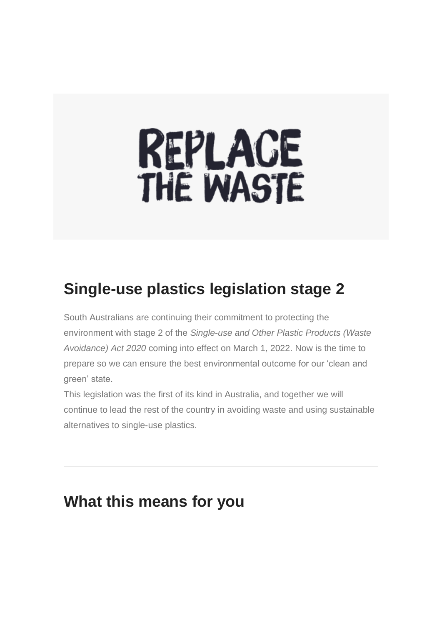# REPLACE<br>THE WASTE

# **Single-use plastics legislation stage 2**

South Australians are continuing their commitment to protecting the environment with stage 2 of the *Single-use and Other Plastic Products (Waste Avoidance) Act 2020* coming into effect on March 1, 2022. Now is the time to prepare so we can ensure the best environmental outcome for our 'clean and green' state.

This legislation was the first of its kind in Australia, and together we will continue to lead the rest of the country in avoiding waste and using sustainable alternatives to single-use plastics.

# **What this means for you**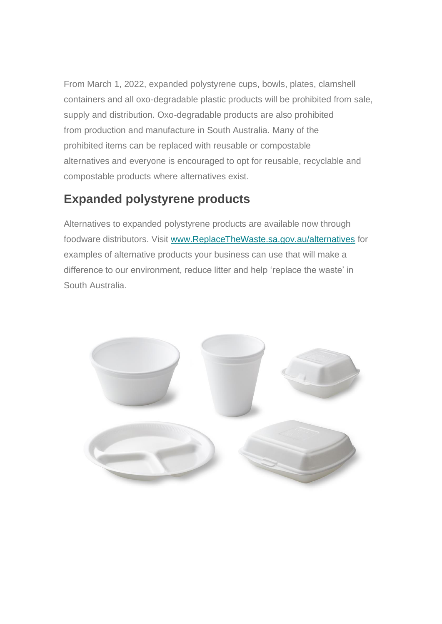From March 1, 2022, expanded polystyrene cups, bowls, plates, clamshell containers and all oxo-degradable plastic products will be prohibited from sale, supply and distribution. Oxo-degradable products are also prohibited from production and manufacture in South Australia. Many of the prohibited items can be replaced with reusable or compostable alternatives and everyone is encouraged to opt for reusable, recyclable and compostable products where alternatives exist.

## **Expanded polystyrene products**

Alternatives to expanded polystyrene products are available now through foodware distributors. Visit [www.ReplaceTheWaste.sa.gov.au/alternatives](https://aus01.safelinks.protection.outlook.com/?url=https%3A%2F%2Fsingleuseplastics.us7.list-manage.com%2Ftrack%2Fclick%3Fu%3D328031fd5f5667d64d9544de6%26id%3D47a5aea2f0%26e%3D7f53366317&data=04%7C01%7Cnconci%40eha.sa.gov.au%7C2f191ee398d44c044e3508d9aaf594c0%7C4a31a64721f74f718297785e00e83963%7C1%7C1%7C637728794022127347%7CUnknown%7CTWFpbGZsb3d8eyJWIjoiMC4wLjAwMDAiLCJQIjoiV2luMzIiLCJBTiI6Ik1haWwiLCJXVCI6Mn0%3D%7C3000&sdata=V1vU%2B5fbFfVExs0ZLv3w2mbdobFz3tuc0kbAjzAmHyE%3D&reserved=0) for examples of alternative products your business can use that will make a difference to our environment, reduce litter and help 'replace the waste' in South Australia.

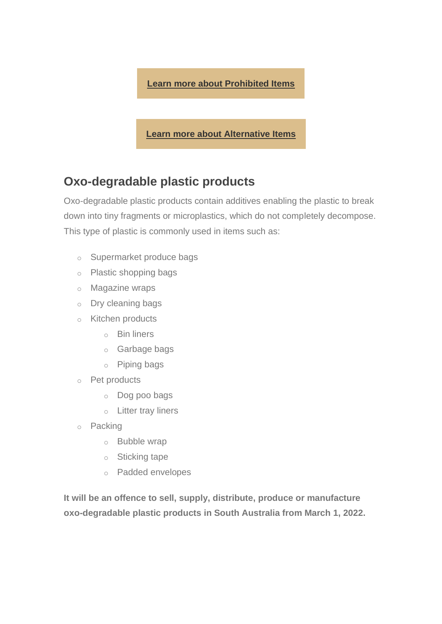

**[Learn more about Alternative Items](https://aus01.safelinks.protection.outlook.com/?url=https%3A%2F%2Fsingleuseplastics.us7.list-manage.com%2Ftrack%2Fclick%3Fu%3D328031fd5f5667d64d9544de6%26id%3D84bbe90682%26e%3D7f53366317&data=04%7C01%7Cnconci%40eha.sa.gov.au%7C2f191ee398d44c044e3508d9aaf594c0%7C4a31a64721f74f718297785e00e83963%7C1%7C1%7C637728794022137302%7CUnknown%7CTWFpbGZsb3d8eyJWIjoiMC4wLjAwMDAiLCJQIjoiV2luMzIiLCJBTiI6Ik1haWwiLCJXVCI6Mn0%3D%7C3000&sdata=tLs3JbKsTkA9m36QKyTxq%2FXu%2FetUPfKTtuR17sxy7Aw%3D&reserved=0)**

### **Oxo-degradable plastic products**

Oxo-degradable plastic products contain additives enabling the plastic to break down into tiny fragments or microplastics, which do not completely decompose. This type of plastic is commonly used in items such as:

- o Supermarket produce bags
- o Plastic shopping bags
- o Magazine wraps
- o Dry cleaning bags
- o Kitchen products
	- o Bin liners
	- o Garbage bags
	- o Piping bags
- o Pet products
	- o Dog poo bags
	- o Litter tray liners
- o Packing
	- o Bubble wrap
	- o Sticking tape
	- o Padded envelopes

**It will be an offence to sell, supply, distribute, produce or manufacture oxo-degradable plastic products in South Australia from March 1, 2022.**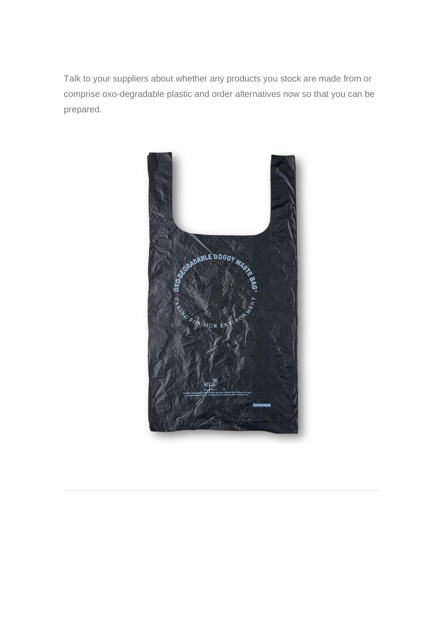Talk to your suppliers about whether any products you stock are made from or comprise oxo-degradable plastic and order alternatives now so that you can be prepared.